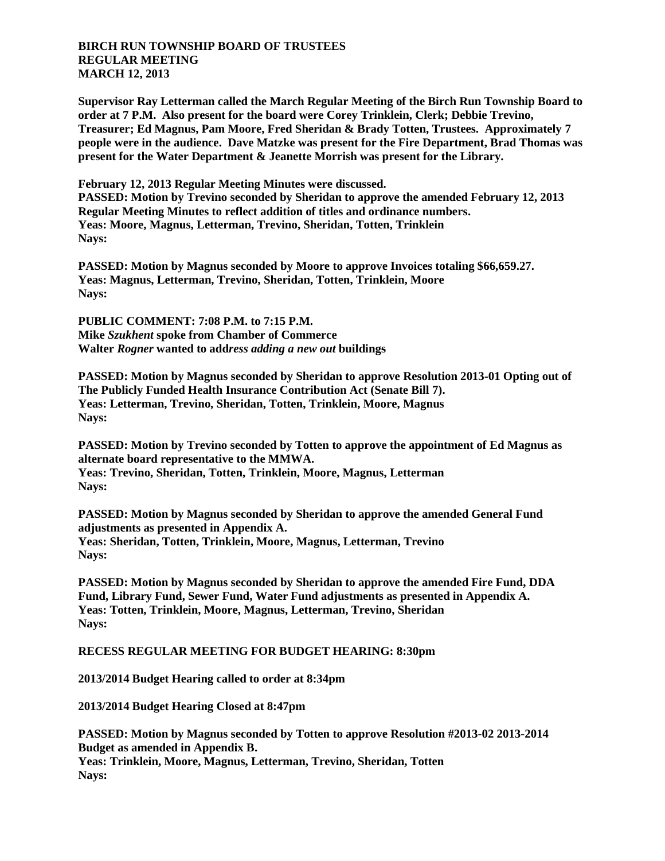## **BIRCH RUN TOWNSHIP BOARD OF TRUSTEES REGULAR MEETING MARCH 12, 2013**

**Supervisor Ray Letterman called the March Regular Meeting of the Birch Run Township Board to order at 7 P.M. Also present for the board were Corey Trinklein, Clerk; Debbie Trevino, Treasurer; Ed Magnus, Pam Moore, Fred Sheridan & Brady Totten, Trustees. Approximately 7 people were in the audience. Dave Matzke was present for the Fire Department, Brad Thomas was present for the Water Department & Jeanette Morrish was present for the Library.**

**February 12, 2013 Regular Meeting Minutes were discussed. PASSED: Motion by Trevino seconded by Sheridan to approve the amended February 12, 2013 Regular Meeting Minutes to reflect addition of titles and ordinance numbers. Yeas: Moore, Magnus, Letterman, Trevino, Sheridan, Totten, Trinklein Nays:**

**PASSED: Motion by Magnus seconded by Moore to approve Invoices totaling \$66,659.27. Yeas: Magnus, Letterman, Trevino, Sheridan, Totten, Trinklein, Moore Nays:**

**PUBLIC COMMENT: 7:08 P.M. to 7:15 P.M. Mike** *Szukhent* **spoke from Chamber of Commerce Walter** *Rogner* **wanted to add***ress adding a new out* **buildings**

**PASSED: Motion by Magnus seconded by Sheridan to approve Resolution 2013-01 Opting out of The Publicly Funded Health Insurance Contribution Act (Senate Bill 7). Yeas: Letterman, Trevino, Sheridan, Totten, Trinklein, Moore, Magnus Nays:**

**PASSED: Motion by Trevino seconded by Totten to approve the appointment of Ed Magnus as alternate board representative to the MMWA. Yeas: Trevino, Sheridan, Totten, Trinklein, Moore, Magnus, Letterman Nays:**

**PASSED: Motion by Magnus seconded by Sheridan to approve the amended General Fund adjustments as presented in Appendix A. Yeas: Sheridan, Totten, Trinklein, Moore, Magnus, Letterman, Trevino Nays:**

**PASSED: Motion by Magnus seconded by Sheridan to approve the amended Fire Fund, DDA Fund, Library Fund, Sewer Fund, Water Fund adjustments as presented in Appendix A. Yeas: Totten, Trinklein, Moore, Magnus, Letterman, Trevino, Sheridan Nays:**

## **RECESS REGULAR MEETING FOR BUDGET HEARING: 8:30pm**

**2013/2014 Budget Hearing called to order at 8:34pm**

**2013/2014 Budget Hearing Closed at 8:47pm**

**PASSED: Motion by Magnus seconded by Totten to approve Resolution #2013-02 2013-2014 Budget as amended in Appendix B. Yeas: Trinklein, Moore, Magnus, Letterman, Trevino, Sheridan, Totten Nays:**